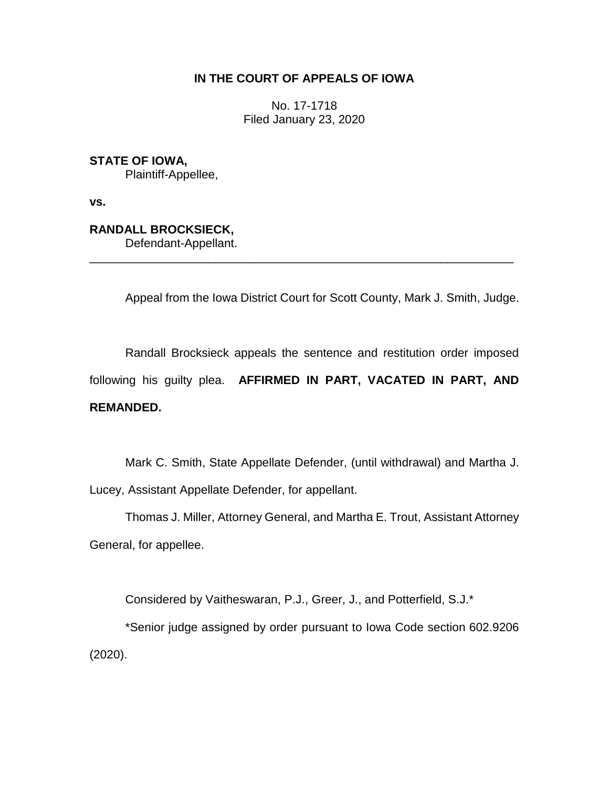### **IN THE COURT OF APPEALS OF IOWA**

No. 17-1718 Filed January 23, 2020

**STATE OF IOWA,**

Plaintiff-Appellee,

**vs.**

**RANDALL BROCKSIECK,**

Defendant-Appellant.

Appeal from the Iowa District Court for Scott County, Mark J. Smith, Judge.

Randall Brocksieck appeals the sentence and restitution order imposed following his guilty plea. **AFFIRMED IN PART, VACATED IN PART, AND REMANDED.**

\_\_\_\_\_\_\_\_\_\_\_\_\_\_\_\_\_\_\_\_\_\_\_\_\_\_\_\_\_\_\_\_\_\_\_\_\_\_\_\_\_\_\_\_\_\_\_\_\_\_\_\_\_\_\_\_\_\_\_\_\_\_\_\_

Mark C. Smith, State Appellate Defender, (until withdrawal) and Martha J. Lucey, Assistant Appellate Defender, for appellant.

Thomas J. Miller, Attorney General, and Martha E. Trout, Assistant Attorney General, for appellee.

Considered by Vaitheswaran, P.J., Greer, J., and Potterfield, S.J.\*

\*Senior judge assigned by order pursuant to Iowa Code section 602.9206 (2020).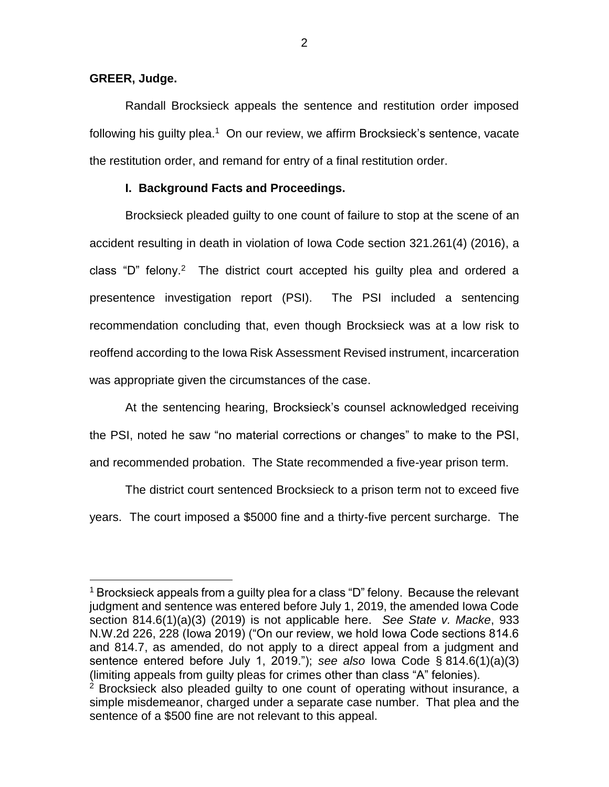#### **GREER, Judge.**

 $\overline{a}$ 

Randall Brocksieck appeals the sentence and restitution order imposed following his guilty plea.<sup>1</sup> On our review, we affirm Brocksieck's sentence, vacate the restitution order, and remand for entry of a final restitution order.

#### **I. Background Facts and Proceedings.**

Brocksieck pleaded guilty to one count of failure to stop at the scene of an accident resulting in death in violation of Iowa Code section 321.261(4) (2016), a class "D" felony.<sup>2</sup> The district court accepted his guilty plea and ordered a presentence investigation report (PSI). The PSI included a sentencing recommendation concluding that, even though Brocksieck was at a low risk to reoffend according to the Iowa Risk Assessment Revised instrument, incarceration was appropriate given the circumstances of the case.

At the sentencing hearing, Brocksieck's counsel acknowledged receiving the PSI, noted he saw "no material corrections or changes" to make to the PSI, and recommended probation. The State recommended a five-year prison term.

The district court sentenced Brocksieck to a prison term not to exceed five years. The court imposed a \$5000 fine and a thirty-five percent surcharge. The

<sup>1</sup> Brocksieck appeals from a guilty plea for a class "D" felony. Because the relevant judgment and sentence was entered before July 1, 2019, the amended Iowa Code section 814.6(1)(a)(3) (2019) is not applicable here. *See State v. Macke*, 933 N.W.2d 226, 228 (Iowa 2019) ("On our review, we hold Iowa Code sections 814.6 and [814.7,](https://1.next.westlaw.com/Link/Document/FullText?findType=L&pubNum=1000256&cite=IASTS814.7&originatingDoc=I0cb84ea0f65111e9ad6fd2296b11a061&refType=LQ&originationContext=document&transitionType=DocumentItem&contextData=(sc.Keycite)) as amended, do not apply to a direct appeal from a judgment and sentence entered before July 1, 2019."); *see also* Iowa Code § 814.6(1)(a)(3) (limiting appeals from guilty pleas for crimes other than class "A" felonies).

 $2$  Brocksieck also pleaded quilty to one count of operating without insurance, a simple misdemeanor, charged under a separate case number. That plea and the sentence of a \$500 fine are not relevant to this appeal.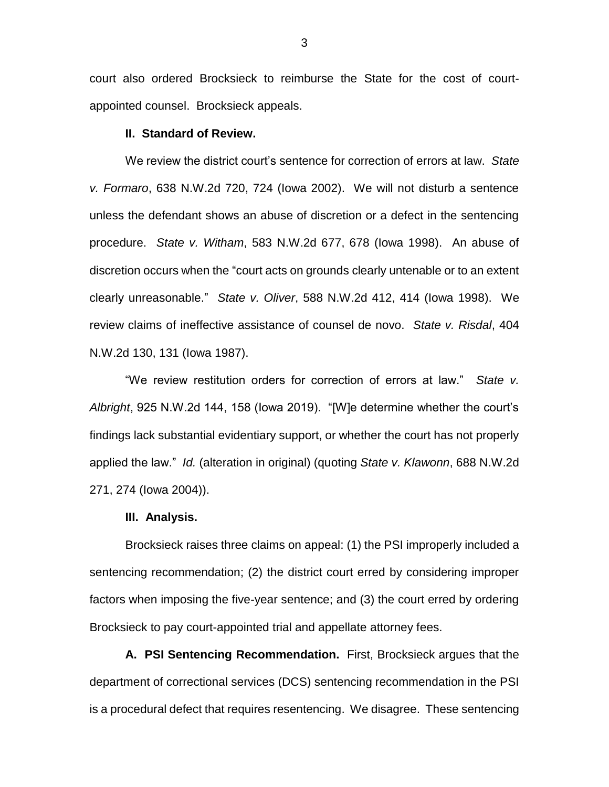court also ordered Brocksieck to reimburse the State for the cost of courtappointed counsel. Brocksieck appeals.

#### **II. Standard of Review.**

We review the district court's sentence for correction of errors at law. *State v. Formaro*, 638 N.W.2d 720, 724 (Iowa 2002). We will not disturb a sentence unless the defendant shows an abuse of discretion or a defect in the sentencing procedure. *State v. Witham*, 583 N.W.2d 677, 678 (Iowa 1998). An abuse of discretion occurs when the "court acts on grounds clearly untenable or to an extent clearly unreasonable." *State v. Oliver*, 588 N.W.2d 412, 414 (Iowa 1998). We review claims of ineffective assistance of counsel de novo. *State v. Risdal*, 404 N.W.2d 130, 131 (Iowa 1987).

"We review restitution orders for correction of errors at law." *State v. Albright*, 925 N.W.2d 144, 158 (Iowa 2019). "[W]e determine whether the court's findings lack substantial evidentiary support, or whether the court has not properly applied the law." *Id.* (alteration in original) (quoting *State v. Klawonn*, 688 N.W.2d 271, 274 (Iowa 2004)).

#### **III. Analysis.**

Brocksieck raises three claims on appeal: (1) the PSI improperly included a sentencing recommendation; (2) the district court erred by considering improper factors when imposing the five-year sentence; and (3) the court erred by ordering Brocksieck to pay court-appointed trial and appellate attorney fees.

**A. PSI Sentencing Recommendation.** First, Brocksieck argues that the department of correctional services (DCS) sentencing recommendation in the PSI is a procedural defect that requires resentencing. We disagree. These sentencing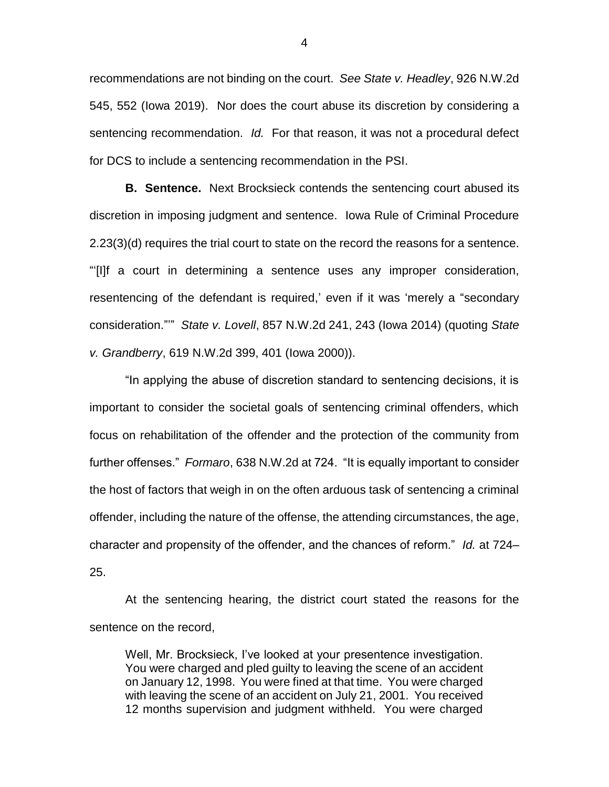recommendations are not binding on the court. *See State v. Headley*, 926 N.W.2d 545, 552 (Iowa 2019). Nor does the court abuse its discretion by considering a sentencing recommendation. *Id.* For that reason, it was not a procedural defect for DCS to include a sentencing recommendation in the PSI.

**B. Sentence.** Next Brocksieck contends the sentencing court abused its discretion in imposing judgment and sentence. Iowa Rule of Criminal Procedure 2.23(3)(d) requires the trial court to state on the record the reasons for a sentence. "'[I]f a court in determining a sentence uses any improper consideration, resentencing of the defendant is required,' even if it was 'merely a "secondary consideration."'" *State v. Lovell*, 857 N.W.2d 241, 243 (Iowa 2014) (quoting *State v. Grandberry*, 619 N.W.2d 399, 401 (Iowa 2000)).

"In applying the abuse of discretion standard to sentencing decisions, it is important to consider the societal goals of sentencing criminal offenders, which focus on rehabilitation of the offender and the protection of the community from further offenses." *Formaro*, 638 N.W.2d at 724. "It is equally important to consider the host of factors that weigh in on the often arduous task of sentencing a criminal offender, including the nature of the offense, the attending circumstances, the age, character and propensity of the offender, and the chances of reform." *Id.* at 724– 25.

At the sentencing hearing, the district court stated the reasons for the sentence on the record,

Well, Mr. Brocksieck, I've looked at your presentence investigation. You were charged and pled guilty to leaving the scene of an accident on January 12, 1998. You were fined at that time. You were charged with leaving the scene of an accident on July 21, 2001. You received 12 months supervision and judgment withheld. You were charged

4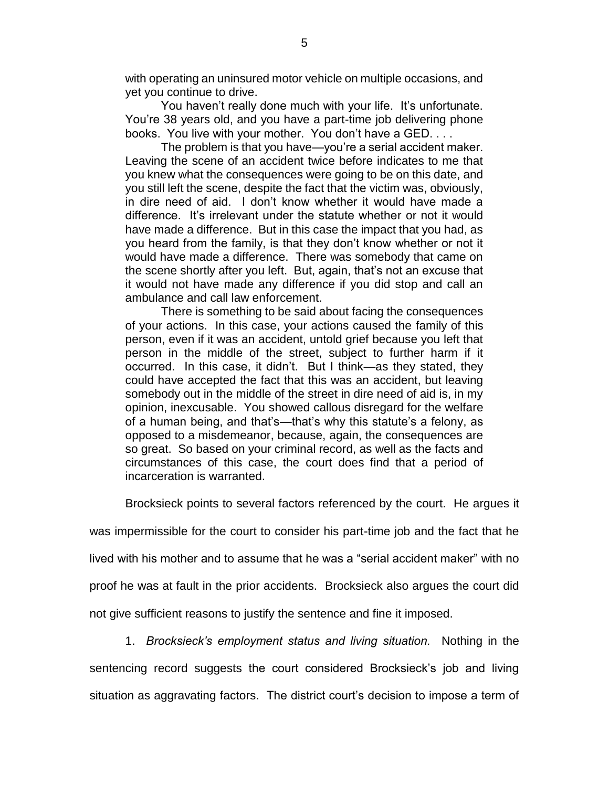with operating an uninsured motor vehicle on multiple occasions, and yet you continue to drive.

You haven't really done much with your life. It's unfortunate. You're 38 years old, and you have a part-time job delivering phone books. You live with your mother. You don't have a GED. . . .

The problem is that you have—you're a serial accident maker. Leaving the scene of an accident twice before indicates to me that you knew what the consequences were going to be on this date, and you still left the scene, despite the fact that the victim was, obviously, in dire need of aid. I don't know whether it would have made a difference. It's irrelevant under the statute whether or not it would have made a difference. But in this case the impact that you had, as you heard from the family, is that they don't know whether or not it would have made a difference. There was somebody that came on the scene shortly after you left. But, again, that's not an excuse that it would not have made any difference if you did stop and call an ambulance and call law enforcement.

There is something to be said about facing the consequences of your actions. In this case, your actions caused the family of this person, even if it was an accident, untold grief because you left that person in the middle of the street, subject to further harm if it occurred. In this case, it didn't. But I think—as they stated, they could have accepted the fact that this was an accident, but leaving somebody out in the middle of the street in dire need of aid is, in my opinion, inexcusable. You showed callous disregard for the welfare of a human being, and that's—that's why this statute's a felony, as opposed to a misdemeanor, because, again, the consequences are so great. So based on your criminal record, as well as the facts and circumstances of this case, the court does find that a period of incarceration is warranted.

Brocksieck points to several factors referenced by the court. He argues it

was impermissible for the court to consider his part-time job and the fact that he

lived with his mother and to assume that he was a "serial accident maker" with no

proof he was at fault in the prior accidents. Brocksieck also argues the court did

not give sufficient reasons to justify the sentence and fine it imposed.

1. *Brocksieck's employment status and living situation.* Nothing in the

sentencing record suggests the court considered Brocksieck's job and living situation as aggravating factors. The district court's decision to impose a term of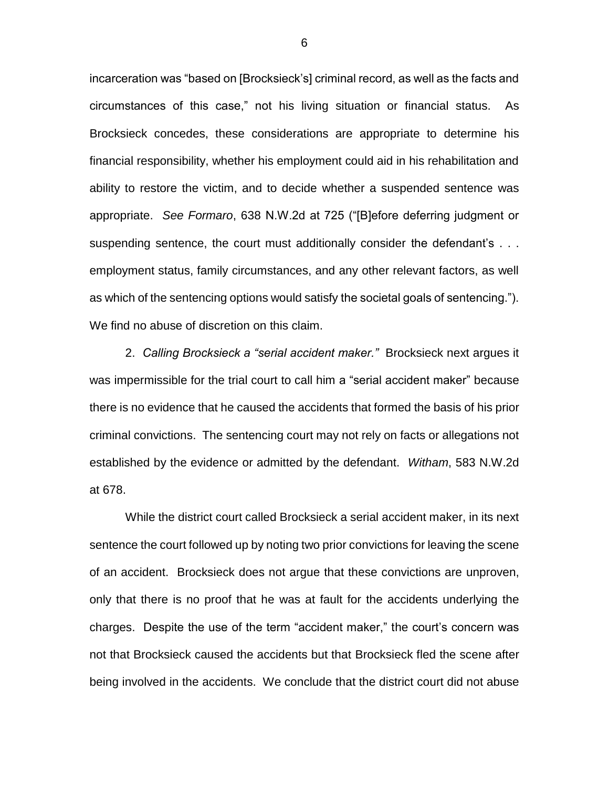incarceration was "based on [Brocksieck's] criminal record, as well as the facts and circumstances of this case," not his living situation or financial status. As Brocksieck concedes, these considerations are appropriate to determine his financial responsibility, whether his employment could aid in his rehabilitation and ability to restore the victim, and to decide whether a suspended sentence was appropriate. *See Formaro*, 638 N.W.2d at 725 ("[B]efore deferring judgment or suspending sentence, the court must additionally consider the defendant's . . . employment status, family circumstances, and any other relevant factors, as well as which of the sentencing options would satisfy the societal goals of sentencing."). We find no abuse of discretion on this claim.

2. *Calling Brocksieck a "serial accident maker."* Brocksieck next argues it was impermissible for the trial court to call him a "serial accident maker" because there is no evidence that he caused the accidents that formed the basis of his prior criminal convictions. The sentencing court may not rely on facts or allegations not established by the evidence or admitted by the defendant. *Witham*, 583 N.W.2d at 678.

While the district court called Brocksieck a serial accident maker, in its next sentence the court followed up by noting two prior convictions for leaving the scene of an accident. Brocksieck does not argue that these convictions are unproven, only that there is no proof that he was at fault for the accidents underlying the charges. Despite the use of the term "accident maker," the court's concern was not that Brocksieck caused the accidents but that Brocksieck fled the scene after being involved in the accidents. We conclude that the district court did not abuse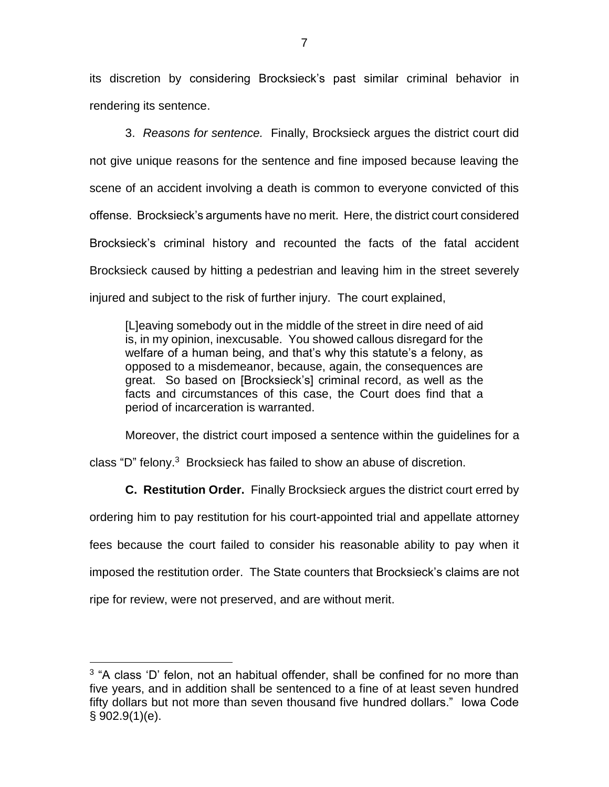its discretion by considering Brocksieck's past similar criminal behavior in rendering its sentence.

3. *Reasons for sentence.* Finally, Brocksieck argues the district court did not give unique reasons for the sentence and fine imposed because leaving the scene of an accident involving a death is common to everyone convicted of this offense. Brocksieck's arguments have no merit. Here, the district court considered Brocksieck's criminal history and recounted the facts of the fatal accident Brocksieck caused by hitting a pedestrian and leaving him in the street severely injured and subject to the risk of further injury. The court explained,

[L]eaving somebody out in the middle of the street in dire need of aid is, in my opinion, inexcusable. You showed callous disregard for the welfare of a human being, and that's why this statute's a felony, as opposed to a misdemeanor, because, again, the consequences are great. So based on [Brocksieck's] criminal record, as well as the facts and circumstances of this case, the Court does find that a period of incarceration is warranted.

Moreover, the district court imposed a sentence within the guidelines for a

class "D" felony.<sup>3</sup> Brocksieck has failed to show an abuse of discretion.

**C. Restitution Order.** Finally Brocksieck argues the district court erred by

ordering him to pay restitution for his court-appointed trial and appellate attorney fees because the court failed to consider his reasonable ability to pay when it imposed the restitution order. The State counters that Brocksieck's claims are not ripe for review, were not preserved, and are without merit.

 $\overline{a}$ 

<sup>&</sup>lt;sup>3</sup> "A class 'D' felon, not an habitual offender, shall be confined for no more than five years, and in addition shall be sentenced to a fine of at least seven hundred fifty dollars but not more than seven thousand five hundred dollars." Iowa Code § 902.9(1)(e).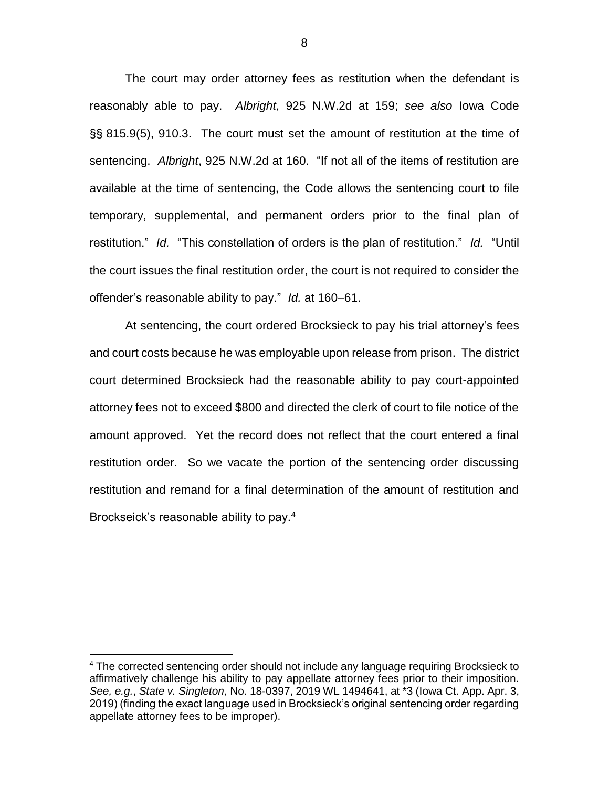The court may order attorney fees as restitution when the defendant is reasonably able to pay. *Albright*, 925 N.W.2d at 159; *see also* Iowa Code §§ 815.9(5), 910.3. The court must set the amount of restitution at the time of sentencing. *Albright*, 925 N.W.2d at 160. "If not all of the items of restitution are available at the time of sentencing, the Code allows the sentencing court to file temporary, supplemental, and permanent orders prior to the final plan of restitution." *Id.* "This constellation of orders is the plan of restitution." *Id.* "Until the court issues the final restitution order, the court is not required to consider the offender's reasonable ability to pay." *Id.* at 160–61.

At sentencing, the court ordered Brocksieck to pay his trial attorney's fees and court costs because he was employable upon release from prison. The district court determined Brocksieck had the reasonable ability to pay court-appointed attorney fees not to exceed \$800 and directed the clerk of court to file notice of the amount approved. Yet the record does not reflect that the court entered a final restitution order. So we vacate the portion of the sentencing order discussing restitution and remand for a final determination of the amount of restitution and Brockseick's reasonable ability to pay.<sup>4</sup>

 $\overline{a}$ 

<sup>&</sup>lt;sup>4</sup> The corrected sentencing order should not include any language requiring Brocksieck to affirmatively challenge his ability to pay appellate attorney fees prior to their imposition. *See, e.g.*, *State v. Singleton*, No. 18-0397, 2019 WL 1494641, at \*3 (Iowa Ct. App. Apr. 3, 2019) (finding the exact language used in Brocksieck's original sentencing order regarding appellate attorney fees to be improper).